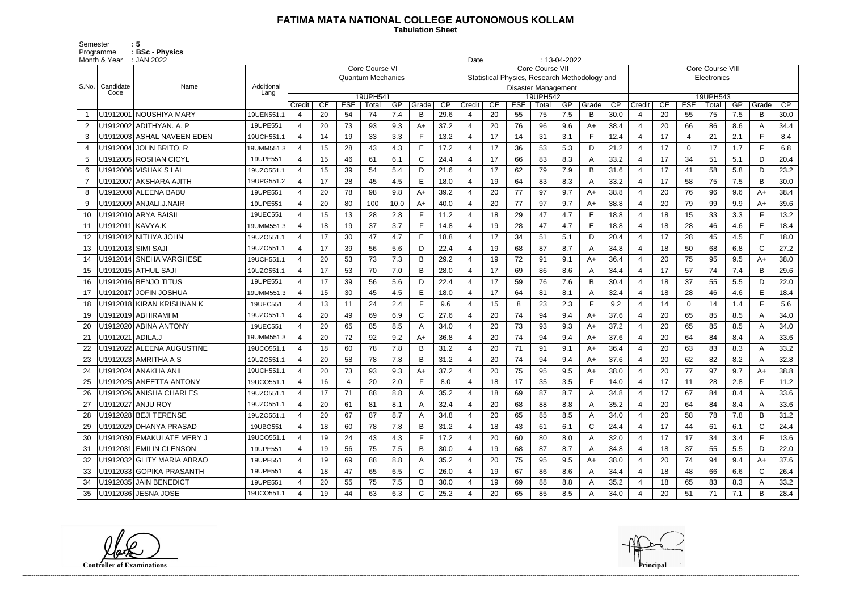## **FATIMA MATA NATIONAL COLLEGE AUTONOMOUS KOLLAM**

Semester : 5 Programme **: BSc - Physics**  **Tabulation Sheet** 

|                | Month & Year       | : JAN 2022                 | $: 13-04-2022$<br>Date |                       |    |            |                          |      |              |      |                                                                         |    |            |                                        |     |              |      |                |                         |                |          |     |              |      |  |  |
|----------------|--------------------|----------------------------|------------------------|-----------------------|----|------------|--------------------------|------|--------------|------|-------------------------------------------------------------------------|----|------------|----------------------------------------|-----|--------------|------|----------------|-------------------------|----------------|----------|-----|--------------|------|--|--|
|                |                    |                            |                        |                       |    |            | Core Course VI           |      |              |      | <b>Core Course VII</b><br>Statistical Physics, Research Methodology and |    |            |                                        |     |              |      |                | <b>Core Course VIII</b> |                |          |     |              |      |  |  |
| S.No.          | Candidate          |                            | Additional             |                       |    |            | <b>Quantum Mechanics</b> |      |              |      |                                                                         |    |            |                                        |     |              |      | Electronics    |                         |                |          |     |              |      |  |  |
|                | Code               | Name                       | Lang                   | 19UPH541              |    |            |                          |      |              |      |                                                                         |    |            | <b>Disaster Management</b><br>19UPH542 |     |              |      |                |                         |                | 19UPH543 |     |              |      |  |  |
|                |                    |                            |                        | Credit                | CE | <b>ESE</b> | Total                    | GP   | Grade        | CP   | Credit                                                                  | CE | <b>ESE</b> | Total                                  | GP  | Grade        | CP   | Credit         | CE                      | <b>ESE</b>     | Total    | GP  | Grade        | CP   |  |  |
|                |                    | U1912001   NOUSHIYA MARY   | 19UEN551.1             | 4                     | 20 | 54         | 74                       | 7.4  | B            | 29.6 |                                                                         | 20 | 55         | 75                                     | 7.5 | B            | 30.0 | 4              | 20                      | 55             | 75       | 7.5 | B            | 30.0 |  |  |
| $\overline{2}$ |                    | U1912002 ADITHYAN. A. P    | 19UPE551               | 4                     | 20 | 73         | 93                       | 9.3  | $A+$         | 37.2 |                                                                         | 20 | 76         | 96                                     | 9.6 | $A+$         | 38.4 | $\overline{4}$ | 20                      | 66             | 86       | 8.6 | A            | 34.4 |  |  |
| 3              |                    | U1912003 ASHAL NAVEEN EDEN | 19UCH551.1             | 4                     | 14 | 19         | 33                       | 3.3  | F            | 13.2 | 4                                                                       | 17 | 14         | 31                                     | 3.1 | $\mathsf{F}$ | 12.4 | 4              | 17                      | $\overline{4}$ | 21       | 2.1 | F            | 8.4  |  |  |
| 4              |                    | U1912004 JOHN BRITO. R     | 19UMM551.3             | 4                     | 15 | 28         | 43                       | 4.3  | Е            | 17.2 |                                                                         | 17 | 36         | 53                                     | 5.3 | D            | 21.2 | $\overline{4}$ | 17                      | $\mathbf 0$    | 17       | 1.7 | F.           | 6.8  |  |  |
| 5              |                    | U1912005 ROSHAN CICYL      | 19UPE551               | $\overline{4}$        | 15 | 46         | 61                       | 6.1  | $\mathsf{C}$ | 24.4 |                                                                         | 17 | 66         | 83                                     | 8.3 | A            | 33.2 | $\overline{4}$ | 17                      | 34             | 51       | 5.1 | D            | 20.4 |  |  |
| 6              |                    | U1912006   VISHAK S LAL    | 19UZO551.1             | $\boldsymbol{4}$      | 15 | 39         | 54                       | 5.4  | D.           | 21.6 |                                                                         | 17 | 62         | 79                                     | 7.9 | B            | 31.6 | $\overline{4}$ | 17                      | 41             | 58       | 5.8 | D            | 23.2 |  |  |
| -7             |                    | U1912007 AKSHARA AJITH     | 19UPG551.2             | $\overline{4}$        | 17 | 28         | 45                       | 4.5  | E            | 18.0 |                                                                         | 19 | 64         | 83                                     | 8.3 | A            | 33.2 | $\overline{4}$ | 17                      | 58             | 75       | 7.5 | B            | 30.0 |  |  |
| 8              |                    | U1912008 ALEENA BABU       | 19UPE551               | 4                     | 20 | 78         | 98                       | 9.8  | $A+$         | 39.2 |                                                                         | 20 | 77         | 97                                     | 9.7 | $A+$         | 38.8 | $\overline{4}$ | 20                      | 76             | 96       | 9.6 | A+           | 38.4 |  |  |
| 9              |                    | U1912009   ANJALI.J.NAIR   | 19UPE551               |                       | 20 | 80         | 100                      | 10.0 | $A+$         | 40.0 |                                                                         | 20 | 77         | 97                                     | 9.7 | $A+$         | 38.8 | $\overline{4}$ | 20                      | 79             | 99       | 9.9 | A+           | 39.6 |  |  |
| 10             |                    | U1912010 ARYA BAISIL       | 19UEC551               | 4                     | 15 | 13         | 28                       | 2.8  | F            | 11.2 |                                                                         | 18 | 29         | 47                                     | 4.7 | E            | 18.8 | $\overline{4}$ | 18                      | 15             | 33       | 3.3 | F            | 13.2 |  |  |
| 11             | U1912011 KAVYA.K   |                            | 19UMM551.3             | $\boldsymbol{\Delta}$ | 18 | 19         | 37                       | 3.7  |              | 14.8 |                                                                         | 19 | 28         | 47                                     | 4.7 | E            | 18.8 | $\overline{4}$ | 18                      | 28             | 46       | 4.6 | E            | 18.4 |  |  |
| 12             |                    | U1912012 NITHYA JOHN       | 19UZO551.1             | $\boldsymbol{4}$      | 17 | 30         | 47                       | 4.7  | E            | 18.8 |                                                                         | 17 | 34         | 51                                     | 5.1 | D            | 20.4 | $\overline{4}$ | 17                      | 28             | 45       | 4.5 | E            | 18.0 |  |  |
| 13             | U1912013 SIMI SAJI |                            | 19UZO551.1             | 4                     | 17 | 39         | 56                       | 5.6  | D            | 22.4 |                                                                         | 19 | 68         | 87                                     | 8.7 | A            | 34.8 | 4              | 18                      | 50             | 68       | 6.8 | $\mathsf{C}$ | 27.2 |  |  |
| 14             |                    | U1912014 SNEHA VARGHESE    | 19UCH551.1             | $\overline{4}$        | 20 | 53         | 73                       | 7.3  | B            | 29.2 |                                                                         | 19 | 72         | 91                                     | 9.1 | A+           | 36.4 | $\overline{4}$ | 20                      | 75             | 95       | 9.5 | A+           | 38.0 |  |  |
| 15             |                    | U1912015 ATHUL SAJI        | 19UZO551.1             | 4                     | 17 | 53         | 70                       | 7.0  | B            | 28.0 |                                                                         | 17 | 69         | 86                                     | 8.6 | A            | 34.4 | $\overline{4}$ | 17                      | 57             | 74       | 7.4 | B            | 29.6 |  |  |
|                |                    | U1912016 BENJO TITUS       | 19UPE551               | $\boldsymbol{4}$      | 17 | 39         | 56                       | 5.6  | D.           | 22.4 |                                                                         | 17 | 59         | 76                                     | 7.6 | B            | 30.4 | $\overline{4}$ | 18                      | 37             | 55       | 5.5 | D            | 22.0 |  |  |
| 17             |                    | U1912017 JOFIN JOSHUA      | 19UMM551.3             | 4                     | 15 | 30         | 45                       | 4.5  |              | 18.0 |                                                                         | 17 | 64         | 81                                     | 8.1 | A            | 32.4 | 4              | 18                      | 28             | 46       | 4.6 | E            | 18.4 |  |  |
| 18             |                    | U1912018 KIRAN KRISHNAN K  | 19UEC551               | 4                     | 13 | 11         | 24                       | 2.4  | F.           | 9.6  |                                                                         | 15 | 8          | 23                                     | 2.3 | E            | 9.2  | $\overline{4}$ | 14                      | $\mathbf 0$    | 14       | 1.4 | F            | 5.6  |  |  |
| 19             |                    | U1912019   ABHIRAMI M      | 19UZO551.1             | $\overline{4}$        | 20 | 49         | 69                       | 6.9  | $\mathsf{C}$ | 27.6 |                                                                         | 20 | 74         | 94                                     | 9.4 | $A+$         | 37.6 | $\overline{4}$ | 20                      | 65             | 85       | 8.5 | A            | 34.0 |  |  |
| 20             |                    | U1912020 ABINA ANTONY      | 19UEC551               | 4                     | 20 | 65         | 85                       | 8.5  | А            | 34.0 |                                                                         | 20 | 73         | 93                                     | 9.3 | $A+$         | 37.2 | 4              | 20                      | 65             | 85       | 8.5 | A            | 34.0 |  |  |
| 21             | U1912021 ADILA.J   |                            | 19UMM551.3             | $\boldsymbol{4}$      | 20 | 72         | 92                       | 9.2  | $A+$         | 36.8 |                                                                         | 20 | 74         | 94                                     | 9.4 | $A+$         | 37.6 | $\overline{4}$ | 20                      | 64             | 84       | 8.4 | A            | 33.6 |  |  |
|                |                    | U1912022 ALEENA AUGUSTINE  | 19UCO551.1             | $\boldsymbol{4}$      | 18 | 60         | 78                       | 7.8  | в            | 31.2 |                                                                         | 20 | 71         | 91                                     | 9.1 | $A+$         | 36.4 | 4              | 20                      | 63             | 83       | 8.3 | A            | 33.2 |  |  |
| 23             |                    | U1912023 AMRITHA A S       | 19UZO551.1             | 4                     | 20 | 58         | 78                       | 7.8  | B            | 31.2 |                                                                         | 20 | 74         | 94                                     | 9.4 | $A+$         | 37.6 | 4              | 20                      | 62             | 82       | 8.2 | A            | 32.8 |  |  |
| 24             |                    | U1912024 ANAKHA ANIL       | 19UCH551.1             |                       | 20 | 73         | 93                       | 9.3  | $A+$         | 37.2 |                                                                         | 20 | 75         | 95                                     | 9.5 | $A+$         | 38.0 | $\overline{4}$ | 20                      | 77             | 97       | 9.7 | A+           | 38.8 |  |  |
| 25             |                    | U1912025 ANEETTA ANTONY    | 19UCO551.1             | 4                     | 16 | 4          | 20                       | 2.0  |              | 8.0  | 4                                                                       | 18 | 17         | 35                                     | 3.5 | F            | 14.0 | 4              | 17                      | 11             | 28       | 2.8 | F            | 11.2 |  |  |
|                |                    | U1912026 ANISHA CHARLES    | 19UZO551.1             | 4                     | 17 | 71         | 88                       | 8.8  |              | 35.2 |                                                                         | 18 | 69         | 87                                     | 8.7 | A            | 34.8 | 4              | 17                      | 67             | 84       | 8.4 | A            | 33.6 |  |  |
| 27             |                    | U1912027 ANJU ROY          | 19UZO551.1             | 4                     | 20 | 61         | 81                       | 8.1  |              | 32.4 |                                                                         | 20 | 68         | 88                                     | 8.8 | A            | 35.2 | 4              | 20                      | 64             | 84       | 8.4 | A            | 33.6 |  |  |
| 28             |                    | U1912028 BEJI TERENSE      | 19UZO551.1             | 4                     | 20 | 67         | 87                       | 8.7  | A            | 34.8 |                                                                         | 20 | 65         | 85                                     | 8.5 | A            | 34.0 | 4              | 20                      | 58             | 78       | 7.8 | B            | 31.2 |  |  |
| 29             |                    | U1912029 DHANYA PRASAD     | 19UBO551               | 4                     | 18 | 60         | 78                       | 7.8  | В            | 31.2 |                                                                         | 18 | 43         | 61                                     | 6.1 | C            | 24.4 | 4              | 17                      | 44             | 61       | 6.1 | $\mathsf{C}$ | 24.4 |  |  |
| 30             |                    | U1912030 EMAKULATE MERY J  | 19UCO551.1             | 4                     | 19 | 24         | 43                       | 4.3  |              | 17.2 |                                                                         | 20 | 60         | 80                                     | 8.0 | A            | 32.0 | 4              | 17                      | 17             | 34       | 3.4 | F.           | 13.6 |  |  |
| 31             |                    | U1912031 EMILIN CLENSON    | 19UPE551               | 4                     | 19 | 56         | 75                       | 7.5  | B            | 30.0 |                                                                         | 19 | 68         | 87                                     | 8.7 | A            | 34.8 | 4              | 18                      | 37             | 55       | 5.5 | D            | 22.0 |  |  |
| 32             |                    | U1912032 GLITY MARIA ABRAO | 19UPE551               | 4                     | 19 | 69         | 88                       | 8.8  |              | 35.2 |                                                                         | 20 | 75         | 95                                     | 9.5 | A+           | 38.0 | 4              | 20                      | 74             | 94       | 9.4 | A+           | 37.6 |  |  |
| 33             |                    | U1912033 GOPIKA PRASANTH   | 19UPE551               | 4                     | 18 | 47         | 65                       | 6.5  | C            | 26.0 |                                                                         | 19 | 67         | 86                                     | 8.6 | A            | 34.4 | 4              | 18                      | 48             | 66       | 6.6 | $\mathsf{C}$ | 26.4 |  |  |
| 34             |                    | U1912035 JAIN BENEDICT     | 19UPE551               | 4                     | 20 | 55         | 75                       | 7.5  | В            | 30.0 |                                                                         | 19 | 69         | 88                                     | 8.8 | A            | 35.2 | 4              | 18                      | 65             | 83       | 8.3 | A            | 33.2 |  |  |
| 35             |                    | U1912036 JESNA JOSE        | 19UCO551.1             | 4                     | 19 | 44         | 63                       | 6.3  | $\mathsf{C}$ | 25.2 |                                                                         | 20 | 65         | 85                                     | 8.5 |              | 34.0 | 4              | 20                      | 51             | 71       | 7.1 | B            | 28.4 |  |  |

**Controller of Examinations Principal**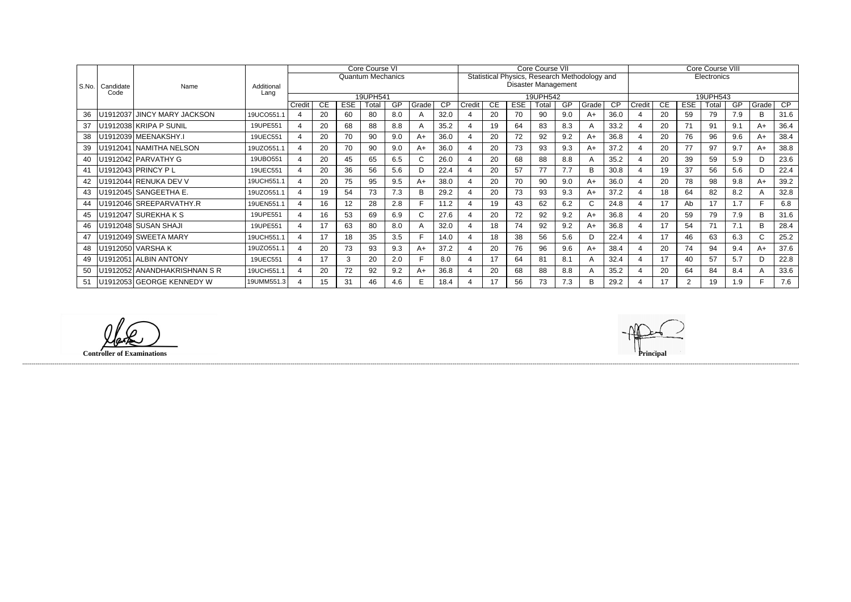|         |                   | Name                        | Additional<br>Lang | Core Course VI           |     |     |       |     |       |      |                                               |                            |            | Core Course VII |           |       |                 | <b>Core Course VIII</b> |             |            |       |     |              |      |  |  |
|---------|-------------------|-----------------------------|--------------------|--------------------------|-----|-----|-------|-----|-------|------|-----------------------------------------------|----------------------------|------------|-----------------|-----------|-------|-----------------|-------------------------|-------------|------------|-------|-----|--------------|------|--|--|
|         | Candidate<br>Code |                             |                    | <b>Quantum Mechanics</b> |     |     |       |     |       |      | Statistical Physics, Research Methodology and |                            |            |                 |           |       |                 |                         | Electronics |            |       |     |              |      |  |  |
| l S.No. |                   |                             |                    |                          |     |     |       |     |       |      |                                               | <b>Disaster Management</b> |            |                 |           |       |                 |                         |             |            |       |     |              |      |  |  |
|         |                   |                             |                    | 19UPH541                 |     |     |       |     |       |      |                                               | 19UPH542                   |            |                 |           |       |                 |                         | 19UPH543    |            |       |     |              |      |  |  |
|         |                   |                             |                    | Credit                   | CE. | ESE | Total | GP  | Grade | CP   | Credit                                        | <b>CE</b>                  | <b>ESE</b> | Total           | <b>GP</b> | Grade | $\overline{CP}$ | Credit                  | CE.         | <b>ESE</b> | Гоtal | GP  | Grade        | CP   |  |  |
| 36      | U1912037          | <b>JINCY MARY JACKSON</b>   | 19UCO551.1         |                          | 20  | 60  | 80    | 8.0 |       | 32.0 |                                               | 20                         | 70         | 90              | 9.0       | $A+$  | 36.0            |                         | 20          | 59         | 79    | 7.9 | B            | 31.6 |  |  |
| 37      |                   | U1912038 KRIPA P SUNIL      | 19UPE551           |                          | 20  | 68  | 88    | 8.8 |       | 35.2 |                                               | 19                         | 64         | 83              | 8.3       |       | 33.2            |                         | 20          | 71         | 91    | 9.1 | $A+$         | 36.4 |  |  |
| 38      |                   | U1912039 MEENAKSHY.I        | 19UEC551           |                          | 20  | 70  | 90    | 9.0 | A+    | 36.0 |                                               | 20                         | 72         | 92              | 9.2       | $A+$  | 36.8            |                         | 20          | 76         | 96    | 9.6 | A+           | 38.4 |  |  |
| 39      |                   | U1912041 NAMITHA NELSON     | 19UZO551.1         | $\overline{4}$           | 20  | 70  | 90    | 9.0 | A+    | 36.0 |                                               | 20                         | 73         | 93              | 9.3       | $A+$  | 37.2            |                         | 20          | 77         | 97    | 9.7 | A+           | 38.8 |  |  |
| 40      |                   | U1912042 PARVATHY G         | 19UBO551           |                          | 20  | 45  | 65    | 6.5 |       | 26.0 |                                               | 20                         | 68         | 88              | 8.8       |       | 35.2            |                         | 20          | 39         | 59    | 5.9 | D            | 23.6 |  |  |
| 41      |                   | U1912043 PRINCY PL          | 19UEC551           |                          | 20  | 36  | 56    | 5.6 | D     | 22.4 |                                               | 20                         | 57         | 77              | 7.7       | B     | 30.8            |                         | 19          | 37         | 56    | 5.6 | D            | 22.4 |  |  |
| 42      |                   | U1912044 RENUKA DEV V       | 19UCH551.1         |                          | 20  | 75  | 95    | 9.5 | A+    | 38.0 |                                               | 20                         | 70         | 90              | 9.0       | $A+$  | 36.0            |                         | 20          | 78         | 98    | 9.8 | $A+$         | 39.2 |  |  |
|         |                   | U1912045 SANGEETHA E.       | 19UZO551.1         |                          | 19  | 54  | 73    | 7.3 | в     | 29.2 |                                               | 20                         | 73         | 93              | 9.3       | $A+$  | 37.2            |                         | 18          | 64         | 82    | 8.2 | $\mathsf{A}$ | 32.8 |  |  |
| 44      |                   | U1912046 SREEPARVATHY.R     | 19UEN551.1         |                          | 16  | 12  | 28    | 2.8 |       | 11.2 |                                               | 19                         | 43         | 62              | 6.2       | C     | 24.8            |                         | 17          | Ab         | 17    | 1.7 |              | 6.8  |  |  |
| 45      |                   | U1912047 SUREKHA K S        | 19UPE551           | Δ                        | 16  | 53  | 69    | 6.9 | U.    | 27.6 |                                               | 20                         | 72         | 92              | 9.2       | $A+$  | 36.8            |                         | 20          | 59         | 79    | 7.9 | B            | 31.6 |  |  |
| 46      |                   | U1912048 SUSAN SHAJI        | 19UPE551           | 4                        | 17  | 63  | 80    | 8.0 | A     | 32.0 |                                               | 18                         | 74         | 92              | 9.2       | $A+$  | 36.8            |                         | 17          | 54         | 71    | 7.1 | B            | 28.4 |  |  |
| 47      |                   | U1912049 SWEETA MARY        | 19UCH551.1         |                          | 17  | 18  | 35    | 3.5 |       | 14.0 |                                               | 18                         | 38         | 56              | 5.6       | D     | 22.4            |                         | 17          | 46         | 63    | 6.3 | $\mathsf{C}$ | 25.2 |  |  |
| 48      |                   | U1912050 VARSHAK            | 19UZO551.1         |                          | 20  | 73  | 93    | 9.3 | A+    | 37.2 |                                               | 20                         | 76         | 96              | 9.6       | $A+$  | 38.4            |                         | 20          | 74         | 94    | 9.4 | A+           | 37.6 |  |  |
| 49      |                   | U1912051 ALBIN ANTONY       | 19UEC551           |                          | 17  | 3   | 20    | 2.0 |       | 8.0  |                                               | 17                         | 64         | 81              | 8.1       |       | 32.4            |                         | 17          | 40         | 57    | 5.7 | D            | 22.8 |  |  |
| 50      |                   | U1912052 ANANDHAKRISHNAN SR | 19UCH551.1         |                          | 20  | 72  | 92    | 9.2 | A+    | 36.8 |                                               | 20                         | 68         | 88              | 8.8       |       | 35.2            |                         | 20          | 64         | 84    | 8.4 |              | 33.6 |  |  |
| 51      |                   | U1912053 GEORGE KENNEDY W   | 19UMM551.3         |                          | 15  | 31  | 46    | 4.6 |       | 18.4 |                                               | 17                         | 56         | 73              | 7.3       | B     | 29.2            |                         | 17          | 2          | 19    | 1.9 |              | 7.6  |  |  |

(D **Controller of Examinations**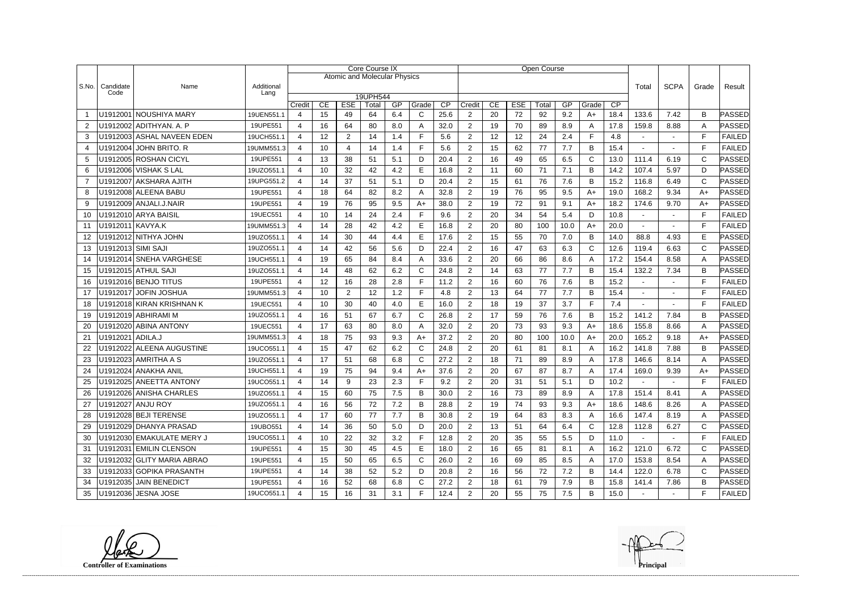|                |                    |                            |                    |                          |          |                                     | <b>Core Course IX</b> |           |              |            |                          |    |                  | <b>Open Course</b> |      |              |       |             |                |              |               |
|----------------|--------------------|----------------------------|--------------------|--------------------------|----------|-------------------------------------|-----------------------|-----------|--------------|------------|--------------------------|----|------------------|--------------------|------|--------------|-------|-------------|----------------|--------------|---------------|
|                |                    |                            |                    |                          |          | <b>Atomic and Molecular Physics</b> |                       |           |              |            |                          |    |                  |                    |      |              |       |             |                |              |               |
| S.No.          | Candidate<br>Code  | Name                       | Additional<br>Lang |                          |          |                                     |                       |           |              |            |                          |    |                  |                    |      |              | Total | <b>SCPA</b> | Grade          | Result       |               |
|                |                    |                            |                    | 19UPH544<br>CE           |          |                                     |                       |           |              |            |                          |    |                  | Total              | GP   | Grade        | CP    |             |                |              |               |
|                |                    | U1912001 NOUSHIYA MARY     | 19UEN551.1         | Credit<br>4              | CE<br>15 | <b>ESE</b><br>49                    | Total<br>64           | GP<br>6.4 | Grade<br>C   | CP<br>25.6 | Credit<br>$\overline{2}$ | 20 | <b>ESE</b><br>72 | 92                 | 9.2  | A+           | 18.4  | 133.6       | 7.42           | B            | PASSED        |
| 2              |                    | U1912002 ADITHYAN. A. P    | 19UPE551           | 4                        | 16       | 64                                  | 80                    | 8.0       | Α            | 32.0       | $\overline{2}$           | 19 | 70               | 89                 | 8.9  | A            | 17.8  | 159.8       | 8.88           | Α            | PASSED        |
| 3              |                    | U1912003 ASHAL NAVEEN EDEN | 19UCH551.1         | 4                        | 12       | $\overline{2}$                      | 14                    | 1.4       | F            | 5.6        | 2                        | 12 | 12               | 24                 | 2.4  | F.           | 4.8   |             |                | F            | <b>FAILED</b> |
| $\overline{4}$ |                    | U1912004 JOHN BRITO. R     | 19UMM551.3         | 4                        | 10       | 4                                   | 14                    | 1.4       | E            | 5.6        | $\overline{2}$           | 15 | 62               | 77                 | 7.7  | B            | 15.4  |             |                | E            | <b>FAILED</b> |
| 5              |                    | U1912005 ROSHAN CICYL      | 19UPE551           | 4                        | 13       | 38                                  | 51                    | 5.1       | D            | 20.4       | $\overline{2}$           | 16 | 49               | 65                 | 6.5  | $\mathsf{C}$ | 13.0  | 111.4       | 6.19           | $\mathsf{C}$ | PASSED        |
| 6              |                    | U1912006 VISHAK S LAL      | 19UZO551.1         | 4                        | 10       | 32                                  | 42                    | 4.2       | E            | 16.8       | $\overline{2}$           | 11 | 60               | 71                 | 7.1  | B            | 14.2  | 107.4       | 5.97           | D            | PASSED        |
| $\overline{7}$ |                    | U1912007 AKSHARA AJITH     | 19UPG551.2         | 4                        | 14       | 37                                  | 51                    | 5.1       | D            | 20.4       | $\overline{2}$           | 15 | 61               | 76                 | 7.6  | B            | 15.2  | 116.8       | 6.49           | C            | PASSED        |
| 8              |                    | U1912008 ALEENA BABU       | 19UPE551           | 4                        | 18       | 64                                  | 82                    | 8.2       | A            | 32.8       | $\overline{2}$           | 19 | 76               | 95                 | 9.5  | $A+$         | 19.0  | 168.2       | 9.34           | $A+$         | PASSED        |
| 9              |                    | U1912009 ANJALI.J.NAIR     | 19UPE551           | 4                        | 19       | 76                                  | 95                    | 9.5       | $A+$         | 38.0       | $\overline{2}$           | 19 | 72               | 91                 | 9.1  | $A+$         | 18.2  | 174.6       | 9.70           | $A+$         | PASSED        |
| 10             |                    | U1912010 ARYA BAISIL       | 19UEC551           | 4                        | 10       | 14                                  | 24                    | 2.4       | F            | 9.6        | $\overline{2}$           | 20 | 34               | 54                 | 5.4  | D            | 10.8  |             | $\sim$         | E            | <b>FAILED</b> |
| 11             | U1912011 KAVYA.K   |                            | 19UMM551.3         | 4                        | 14       | 28                                  | 42                    | 4.2       | E            | 16.8       | $\overline{2}$           | 20 | 80               | 100                | 10.0 | $A+$         | 20.0  |             |                | E            | <b>FAILED</b> |
| 12             |                    | U1912012 NITHYA JOHN       | 19UZO551.1         | 4                        | 14       | 30                                  | 44                    | 4.4       | E            | 17.6       | $\overline{2}$           | 15 | 55               | 70                 | 7.0  | B            | 14.0  | 88.8        | 4.93           | E            | PASSED        |
| 13             | U1912013 SIMI SAJI |                            | 19UZO551.1         | 4                        | 14       | 42                                  | 56                    | 5.6       | D            | 22.4       | 2                        | 16 | 47               | 63                 | 6.3  | $\mathsf{C}$ | 12.6  | 119.4       | 6.63           | C            | PASSED        |
| 14             |                    | U1912014 SNEHA VARGHESE    | 19UCH551.1         | 4                        | 19       | 65                                  | 84                    | 8.4       | A            | 33.6       | $\overline{2}$           | 20 | 66               | 86                 | 8.6  | A            | 17.2  | 154.4       | 8.58           | Α            | PASSED        |
| 15             |                    | U1912015 ATHUL SAJI        | 19UZO551.1         | $\overline{4}$           | 14       | 48                                  | 62                    | 6.2       | $\mathsf C$  | 24.8       | $\overline{2}$           | 14 | 63               | 77                 | 7.7  | B            | 15.4  | 132.2       | 7.34           | B            | <b>PASSED</b> |
| 16             |                    | U1912016 BENJO TITUS       | 19UPE551           | $\overline{4}$           | 12       | 16                                  | 28                    | 2.8       | F            | 11.2       | $\overline{2}$           | 16 | 60               | 76                 | 7.6  | B            | 15.2  |             |                | $\mathsf{F}$ | <b>FAILED</b> |
| 17             |                    | U1912017 JOFIN JOSHUA      | 19UMM551.3         | 4                        | 10       | 2                                   | 12                    | 1.2       | F            | 4.8        | $\overline{2}$           | 13 | 64               | 77                 | 7.7  | B            | 15.4  |             |                | F            | <b>FAILED</b> |
| 18             |                    | U1912018 KIRAN KRISHNAN K  | 19UEC551           | 4                        | 10       | 30                                  | 40                    | 4.0       | E            | 16.0       | $\overline{2}$           | 18 | 19               | 37                 | 3.7  | F.           | 7.4   |             |                | E            | <b>FAILED</b> |
| 19             |                    | U1912019 ABHIRAMI M        | 19UZO551.1         | 4                        | 16       | 51                                  | 67                    | 6.7       | $\mathsf{C}$ | 26.8       | $\overline{2}$           | 17 | 59               | 76                 | 7.6  | B            | 15.2  | 141.2       | 7.84           | B            | PASSED        |
| 20             |                    | U1912020 ABINA ANTONY      | 19UEC551           | 4                        | 17       | 63                                  | 80                    | 8.0       | A            | 32.0       | $\overline{2}$           | 20 | 73               | 93                 | 9.3  | $A+$         | 18.6  | 155.8       | 8.66           | A            | PASSED        |
| 21             | U1912021 ADILA.J   |                            | 19UMM551.3         | $\overline{4}$           | 18       | 75                                  | 93                    | 9.3       | $A+$         | 37.2       | $\overline{2}$           | 20 | 80               | 100                | 10.0 | $A+$         | 20.0  | 165.2       | 9.18           | $A+$         | PASSED        |
| 22             |                    | U1912022 ALEENA AUGUSTINE  | 19UCO551.1         | 4                        | 15       | 47                                  | 62                    | 6.2       | $\mathsf{C}$ | 24.8       | $\overline{2}$           | 20 | 61               | 81                 | 8.1  | A            | 16.2  | 141.8       | 7.88           | В            | PASSED        |
| 23             |                    | U1912023 AMRITHA A S       | 19UZO551.1         | 4                        | 17       | 51                                  | 68                    | 6.8       | $\mathsf{C}$ | 27.2       | 2                        | 18 | 71               | 89                 | 8.9  | A            | 17.8  | 146.6       | 8.14           | A            | PASSED        |
| 24             |                    | U1912024 ANAKHA ANIL       | 19UCH551.1         | 4                        | 19       | 75                                  | 94                    | 9.4       | $A+$         | 37.6       | $\overline{2}$           | 20 | 67               | 87                 | 8.7  | A            | 17.4  | 169.0       | 9.39           | $A+$         | PASSED        |
| 25             |                    | U1912025 ANEETTA ANTONY    | 19UCO551.1         | $\boldsymbol{\varDelta}$ | 14       | 9                                   | 23                    | 23<br>$-$ | Е            | 92         | $\mathcal{D}$            | 20 | 31               | 51                 | 5.1  | D            | 10.2  |             |                | Е            | <b>FAILED</b> |
| 26             |                    | U1912026 ANISHA CHARLES    | 19UZO551.1         | $\overline{4}$           | 15       | 60                                  | 75                    | 7.5       | B            | 30.0       | $\overline{2}$           | 16 | 73               | 89                 | 8.9  | A            | 17.8  | 151.4       | 8.41           | Α            | PASSED        |
| 27             |                    | U1912027 ANJU ROY          | 19UZO551.1         | 4                        | 16       | 56                                  | 72                    | 7.2       | B            | 28.8       | $\overline{2}$           | 19 | 74               | 93                 | 9.3  | $A+$         | 18.6  | 148.6       | 8.26           | A            | PASSED        |
| 28             |                    | U1912028 BEJI TERENSE      | 19UZO551.1         | 4                        | 17       | 60                                  | 77                    | 7.7       | B            | 30.8       | $\overline{2}$           | 19 | 64               | 83                 | 8.3  | A            | 16.6  | 147.4       | 8.19           | A            | PASSED        |
| 29             |                    | U1912029 DHANYA PRASAD     | 19UBO551           | 4                        | 14       | 36                                  | 50                    | 5.0       | D            | 20.0       | $\overline{2}$           | 13 | 51               | 64                 | 6.4  | C            | 12.8  | 112.8       | 6.27           | C            | PASSED        |
| 30             |                    | U1912030 EMAKULATE MERY J  | 19UCO551.1         | 4                        | 10       | 22                                  | 32                    | 3.2       | F            | 12.8       | $\overline{2}$           | 20 | 35               | 55                 | 5.5  | D            | 11.0  | $\sim$      | $\sim$         | F            | <b>FAILED</b> |
| -31            |                    | U1912031 EMILIN CLENSON    | 19UPE551           | 4                        | 15       | 30                                  | 45                    | 4.5       | E            | 18.0       | $\overline{2}$           | 16 | 65               | 81                 | 8.1  | A            | 16.2  | 121.0       | 6.72           | C            | PASSED        |
| 32             |                    | U1912032 GLITY MARIA ABRAO | 19UPE551           | 4                        | 15       | 50                                  | 65                    | 6.5       | $\mathsf{C}$ | 26.0       | $\overline{2}$           | 16 | 69               | 85                 | 8.5  | A            | 17.0  | 153.8       | 8.54           | A            | PASSED        |
| 33             |                    | U1912033 GOPIKA PRASANTH   | 19UPE551           |                          | 14       | 38                                  | 52                    | 5.2       | D            | 20.8       | $\overline{2}$           | 16 | 56               | 72                 | 7.2  | B            | 14.4  | 122.0       | 6.78           | C            | PASSED        |
| 34             |                    | U1912035 JAIN BENEDICT     | 19UPE551           | 4                        | 16       | 52                                  | 68                    | 6.8       | $\mathsf C$  | 27.2       | $\overline{2}$           | 18 | 61               | 79                 | 7.9  | B            | 15.8  | 141.4       | 7.86           | B            | <b>PASSED</b> |
| 35             |                    | U1912036 JESNA JOSE        | 19UCO551.1         | 4                        | 15       | 16                                  | 31                    | 3.1       | F.           | 12.4       | $\overline{2}$           | 20 | 55               | 75                 | 7.5  | B            | 15.0  | $\sim$      | $\blacksquare$ | F            | <b>FAILED</b> |

**Controller of Examinations Principal**